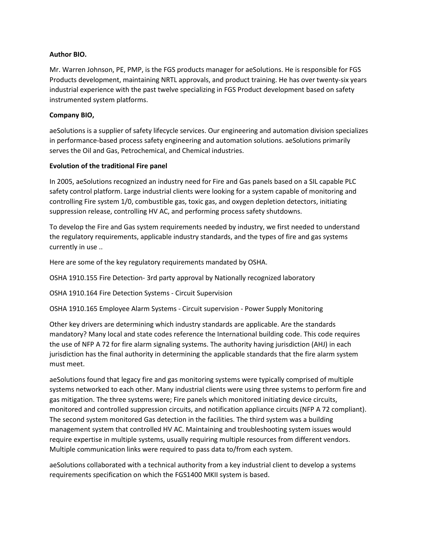## **Author BIO.**

Mr. Warren Johnson, PE, PMP, is the FGS products manager for aeSolutions. He is responsible for FGS Products development, maintaining NRTL approvals, and product training. He has over twenty-six years industrial experience with the past twelve specializing in FGS Product development based on safety instrumented system platforms.

# **Company BIO,**

aeSolutions is a supplier of safety lifecycle services. Our engineering and automation division specializes in performance-based process safety engineering and automation solutions. aeSolutions primarily serves the Oil and Gas, Petrochemical, and Chemical industries.

# **Evolution of the traditional Fire panel**

In 2005, aeSolutions recognized an industry need for Fire and Gas panels based on a SIL capable PLC safety control platform. Large industrial clients were looking for a system capable of monitoring and controlling Fire system 1/0, combustible gas, toxic gas, and oxygen depletion detectors, initiating suppression release, controlling HV AC, and performing process safety shutdowns.

To develop the Fire and Gas system requirements needed by industry, we first needed to understand the regulatory requirements, applicable industry standards, and the types of fire and gas systems currently in use ..

Here are some of the key regulatory requirements mandated by OSHA.

OSHA 1910.155 Fire Detection- 3rd party approval by Nationally recognized laboratory

OSHA 1910.164 Fire Detection Systems - Circuit Supervision

OSHA 1910.165 Employee Alarm Systems - Circuit supervision - Power Supply Monitoring

Other key drivers are determining which industry standards are applicable. Are the standards mandatory? Many local and state codes reference the International building code. This code requires the use of NFP A 72 for fire alarm signaling systems. The authority having jurisdiction (AHJ) in each jurisdiction has the final authority in determining the applicable standards that the fire alarm system must meet.

aeSolutions found that legacy fire and gas monitoring systems were typically comprised of multiple systems networked to each other. Many industrial clients were using three systems to perform fire and gas mitigation. The three systems were; Fire panels which monitored initiating device circuits, monitored and controlled suppression circuits, and notification appliance circuits (NFP A 72 compliant). The second system monitored Gas detection in the facilities. The third system was a building management system that controlled HV AC. Maintaining and troubleshooting system issues would require expertise in multiple systems, usually requiring multiple resources from different vendors. Multiple communication links were required to pass data to/from each system.

aeSolutions collaborated with a technical authority from a key industrial client to develop a systems requirements specification on which the FGS1400 MKII system is based.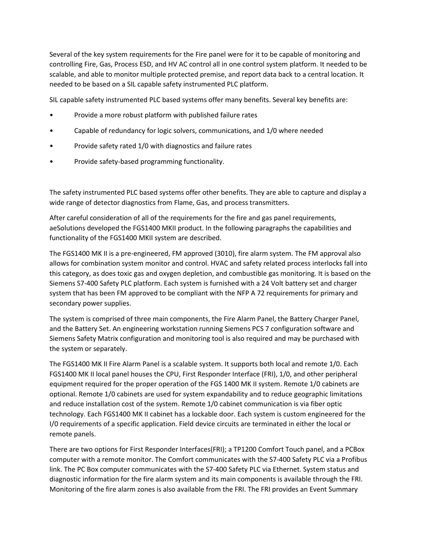Several of the key system requirements for the Fire panel were for it to be capable of monitoring and controlling Fire, Gas, Process ESD, and HV AC control all in one control system platform. It needed to be scalable, and able to monitor multiple protected premise, and report data back to a central location. It needed to be based on a SIL capable safety instrumented PLC platform.

SIL capable safety instrumented PLC based systems offer many benefits. Several key benefits are:

- Provide a more robust platform with published failure rates
- Capable of redundancy for logic solvers, communications, and 1/0 where needed
- Provide safety rated 1/0 with diagnostics and failure rates
- Provide safety-based programming functionality.

The safety instrumented PLC based systems offer other benefits. They are able to capture and display a wide range of detector diagnostics from Flame, Gas, and process transmitters.

After careful consideration of all of the requirements for the fire and gas panel requirements, aeSolutions developed the FGS1400 MKII product. In the following paragraphs the capabilities and functionality of the FGS1400 MKII system are described.

The FGS1400 MK II is a pre-engineered, FM approved (3010), fire alarm system. The FM approval also allows for combination system monitor and control. HVAC and safety related process interlocks fall into this category, as does toxic gas and oxygen depletion, and combustible gas monitoring. It is based on the Siemens S7-400 Safety PLC platform. Each system is furnished with a 24 Volt battery set and charger system that has been FM approved to be compliant with the NFP A 72 requirements for primary and secondary power supplies.

The system is comprised of three main components, the Fire Alarm Panel, the Battery Charger Panel, and the Battery Set. An engineering workstation running Siemens PCS 7 configuration software and Siemens Safety Matrix configuration and monitoring tool is also required and may be purchased with the system or separately.

The FGS1400 MK II Fire Alarm Panel is a scalable system. It supports both local and remote 1/0. Each FGS1400 MK II local panel houses the CPU, First Responder Interface (FRI), 1/0, and other peripheral equipment required for the proper operation of the FGS 1400 MK II system. Remote 1/0 cabinets are optional. Remote 1/0 cabinets are used for system expandability and to reduce geographic limitations and reduce installation cost of the system. Remote 1/0 cabinet communication is via fiber optic technology. Each FGS1400 MK II cabinet has a lockable door. Each system is custom engineered for the I/0 requirements of a specific application. Field device circuits are terminated in either the local or remote panels.

There are two options for First Responder Interfaces(FRI); a TP1200 Comfort Touch panel, and a PCBox computer with a remote monitor. The Comfort communicates with the S7-400 Safety PLC via a Profibus link. The PC Box computer communicates with the S7-400 Safety PLC via Ethernet. System status and diagnostic information for the fire alarm system and its main components is available through the FRI. Monitoring of the fire alarm zones is also available from the FRI. The FRI provides an Event Summary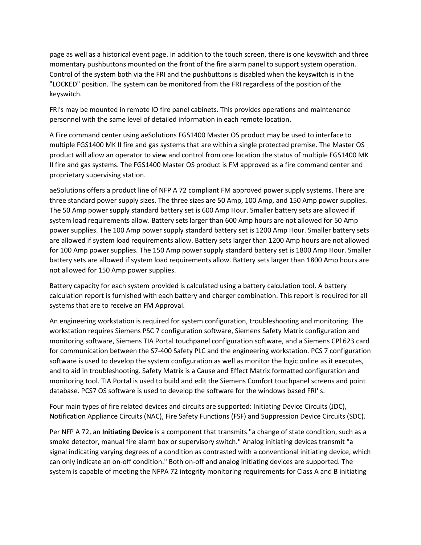page as well as a historical event page. In addition to the touch screen, there is one keyswitch and three momentary pushbuttons mounted on the front of the fire alarm panel to support system operation. Control of the system both via the FRI and the pushbuttons is disabled when the keyswitch is in the "LOCKED" position. The system can be monitored from the FRI regardless of the position of the keyswitch.

FRI's may be mounted in remote IO fire panel cabinets. This provides operations and maintenance personnel with the same level of detailed information in each remote location.

A Fire command center using aeSolutions FGS1400 Master OS product may be used to interface to multiple FGS1400 MK II fire and gas systems that are within a single protected premise. The Master OS product will allow an operator to view and control from one location the status of multiple FGS1400 MK II fire and gas systems. The FGS1400 Master OS product is FM approved as a fire command center and proprietary supervising station.

aeSolutions offers a product line of NFP A 72 compliant FM approved power supply systems. There are three standard power supply sizes. The three sizes are 50 Amp, 100 Amp, and 150 Amp power supplies. The 50 Amp power supply standard battery set is 600 Amp Hour. Smaller battery sets are allowed if system load requirements allow. Battery sets larger than 600 Amp hours are not allowed for 50 Amp power supplies. The 100 Amp power supply standard battery set is 1200 Amp Hour. Smaller battery sets are allowed if system load requirements allow. Battery sets larger than 1200 Amp hours are not allowed for 100 Amp power supplies. The 150 Amp power supply standard battery set is 1800 Amp Hour. Smaller battery sets are allowed if system load requirements allow. Battery sets larger than 1800 Amp hours are not allowed for 150 Amp power supplies.

Battery capacity for each system provided is calculated using a battery calculation tool. A battery calculation report is furnished with each battery and charger combination. This report is required for all systems that are to receive an FM Approval.

An engineering workstation is required for system configuration, troubleshooting and monitoring. The workstation requires Siemens PSC 7 configuration software, Siemens Safety Matrix configuration and monitoring software, Siemens TIA Portal touchpanel configuration software, and a Siemens CPl 623 card for communication between the S7-400 Safety PLC and the engineering workstation. PCS 7 configuration software is used to develop the system configuration as well as monitor the logic online as it executes, and to aid in troubleshooting. Safety Matrix is a Cause and Effect Matrix formatted configuration and monitoring tool. TIA Portal is used to build and edit the Siemens Comfort touchpanel screens and point database. PCS7 OS software is used to develop the software for the windows based FRI' s.

Four main types of fire related devices and circuits are supported: Initiating Device Circuits (JDC), Notification Appliance Circuits (NAC), Fire Safety Functions (FSF) and Suppression Device Circuits (SDC).

Per NFP A 72, an **Initiating Device** is a component that transmits "a change of state condition, such as a smoke detector, manual fire alarm box or supervisory switch." Analog initiating devices transmit "a signal indicating varying degrees of a condition as contrasted with a conventional initiating device, which can only indicate an on-off condition." Both on-off and analog initiating devices are supported. The system is capable of meeting the NFPA 72 integrity monitoring requirements for Class A and B initiating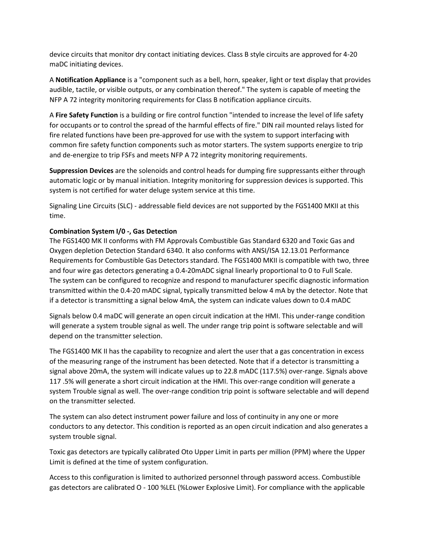device circuits that monitor dry contact initiating devices. Class B style circuits are approved for 4-20 maDC initiating devices.

A **Notification Appliance** is a "component such as a bell, horn, speaker, light or text display that provides audible, tactile, or visible outputs, or any combination thereof." The system is capable of meeting the NFP A 72 integrity monitoring requirements for Class B notification appliance circuits.

A **Fire Safety Function** is a building or fire control function "intended to increase the level of life safety for occupants or to control the spread of the harmful effects of fire." DIN rail mounted relays listed for fire related functions have been pre-approved for use with the system to support interfacing with common fire safety function components such as motor starters. The system supports energize to trip and de-energize to trip FSFs and meets NFP A 72 integrity monitoring requirements.

**Suppression Devices** are the solenoids and control heads for dumping fire suppressants either through automatic logic or by manual initiation. Integrity monitoring for suppression devices is supported. This system is not certified for water deluge system service at this time.

Signaling Line Circuits (SLC) - addressable field devices are not supported by the FGS1400 MKII at this time.

# **Combination System I/0 -, Gas Detection**

The FGS1400 MK II conforms with FM Approvals Combustible Gas Standard 6320 and Toxic Gas and Oxygen depletion Detection Standard 6340. It also conforms with ANSI/ISA 12.13.01 Performance Requirements for Combustible Gas Detectors standard. The FGS1400 MKII is compatible with two, three and four wire gas detectors generating a 0.4-20mADC signal linearly proportional to 0 to Full Scale. The system can be configured to recognize and respond to manufacturer specific diagnostic information transmitted within the 0.4-20 mADC signal, typically transmitted below 4 mA by the detector. Note that if a detector is transmitting a signal below 4mA, the system can indicate values down to 0.4 mADC

Signals below 0.4 maDC will generate an open circuit indication at the HMI. This under-range condition will generate a system trouble signal as well. The under range trip point is software selectable and will depend on the transmitter selection.

The FGS1400 MK II has the capability to recognize and alert the user that a gas concentration in excess of the measuring range of the instrument has been detected. Note that if a detector is transmitting a signal above 20mA, the system will indicate values up to 22.8 mADC (117.5%) over-range. Signals above 117 .5% will generate a short circuit indication at the HMI. This over-range condition will generate a system Trouble signal as well. The over-range condition trip point is software selectable and will depend on the transmitter selected.

The system can also detect instrument power failure and loss of continuity in any one or more conductors to any detector. This condition is reported as an open circuit indication and also generates a system trouble signal.

Toxic gas detectors are typically calibrated Oto Upper Limit in parts per million (PPM) where the Upper Limit is defined at the time of system configuration.

Access to this configuration is limited to authorized personnel through password access. Combustible gas detectors are calibrated O - 100 %LEL (%Lower Explosive Limit). For compliance with the applicable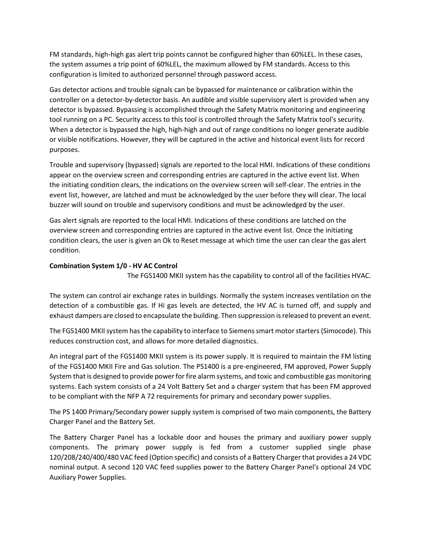FM standards, high-high gas alert trip points cannot be configured higher than 60%LEL. In these cases, the system assumes a trip point of 60%LEL, the maximum allowed by FM standards. Access to this configuration is limited to authorized personnel through password access.

Gas detector actions and trouble signals can be bypassed for maintenance or calibration within the controller on a detector-by-detector basis. An audible and visible supervisory alert is provided when any detector is bypassed. Bypassing is accomplished through the Safety Matrix monitoring and engineering tool running on a PC. Security access to this tool is controlled through the Safety Matrix tool's security. When a detector is bypassed the high, high-high and out of range conditions no longer generate audible or visible notifications. However, they will be captured in the active and historical event lists for record purposes.

Trouble and supervisory (bypassed) signals are reported to the local HMI. Indications of these conditions appear on the overview screen and corresponding entries are captured in the active event list. When the initiating condition clears, the indications on the overview screen will self-clear. The entries in the event list, however, are latched and must be acknowledged by the user before they will clear. The local buzzer will sound on trouble and supervisory conditions and must be acknowledged by the user.

Gas alert signals are reported to the local HMI. Indications of these conditions are latched on the overview screen and corresponding entries are captured in the active event list. Once the initiating condition clears, the user is given an Ok to Reset message at which time the user can clear the gas alert condition.

# **Combination System 1/0 - HV AC Control**

The FGS1400 MKII system has the capability to control all of the facilities HVAC.

The system can control air exchange rates in buildings. Normally the system increases ventilation on the detection of a combustible gas. If Hi gas levels are detected, the HV AC is turned off, and supply and exhaust dampers are closed to encapsulate the building. Then suppression is released to prevent an event.

The FGS1400 MKII system has the capability to interface to Siemens smart motor starters (Simocode). This reduces construction cost, and allows for more detailed diagnostics.

An integral part of the FGS1400 MKII system is its power supply. It is required to maintain the FM listing of the FGS1400 MKII Fire and Gas solution. The PS1400 is a pre-engineered, FM approved, Power Supply System that is designed to provide power for fire alarm systems, and toxic and combustible gas monitoring systems. Each system consists of a 24 Volt Battery Set and a charger system that has been FM approved to be compliant with the NFP A 72 requirements for primary and secondary power supplies.

The PS 1400 Primary/Secondary power supply system is comprised of two main components, the Battery Charger Panel and the Battery Set.

The Battery Charger Panel has a lockable door and houses the primary and auxiliary power supply components. The primary power supply is fed from a customer supplied single phase 120/208/240/400/480 VAC feed (Option specific) and consists of a Battery Charger that provides a 24 VDC nominal output. A second 120 VAC feed supplies power to the Battery Charger Panel's optional 24 VDC Auxiliary Power Supplies.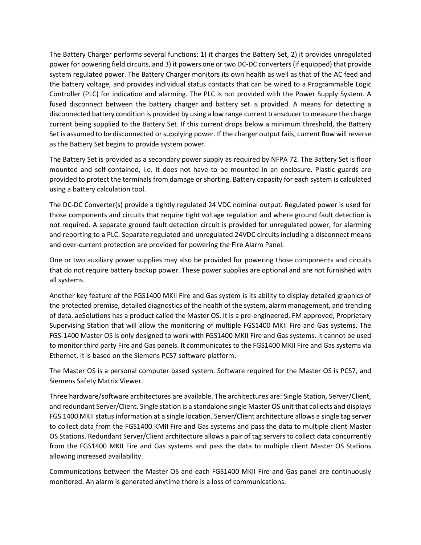The Battery Charger performs several functions: 1) it charges the Battery Set, 2) it provides unregulated power for powering field circuits, and 3) it powers one or two DC-DC converters (if equipped) that provide system regulated power. The Battery Charger monitors its own health as well as that of the AC feed and the battery voltage, and provides individual status contacts that can be wired to a Programmable Logic Controller (PLC) for indication and alarming. The PLC is not provided with the Power Supply System. A fused disconnect between the battery charger and battery set is provided. A means for detecting a disconnected battery condition is provided by using a low range current transducer to measure the charge current being supplied to the Battery Set. If this current drops below a minimum threshold, the Battery Set is assumed to be disconnected or supplying power. If the charger output fails, current flow will reverse as the Battery Set begins to provide system power.

The Battery Set is provided as a secondary power supply as required by NFPA 72. The Battery Set is floor mounted and self-contained, i.e. it does not have to be mounted in an enclosure. Plastic guards are provided to protect the terminals from damage or shorting. Battery capacity for each system is calculated using a battery calculation tool.

The DC-DC Converter(s) provide a tightly regulated 24 VDC nominal output. Regulated power is used for those components and circuits that require tight voltage regulation and where ground fault detection is not required. A separate ground fault detection circuit is provided for unregulated power, for alarming and reporting to a PLC. Separate regulated and unregulated 24VDC circuits including a disconnect means and over-current protection are provided for powering the Fire Alarm Panel.

One or two auxiliary power supplies may also be provided for powering those components and circuits that do not require battery backup power. These power supplies are optional and are not furnished with all systems.

Another key feature of the FGS1400 MKII Fire and Gas system is its ability to display detailed graphics of the protected premise, detailed diagnostics of the health of the system, alarm management, and trending of data. aeSolutions has a product called the Master OS. It is a pre-engineered, FM approved, Proprietary Supervising Station that will allow the monitoring of multiple FGS1400 MKII Fire and Gas systems. The FGS-1400 Master OS is only designed to work with FGS1400 MKII Fire and Gas systems. It cannot be used to monitor third party Fire and Gas panels. It communicates to the FGS1400 MKII Fire and Gas systems via Ethernet. It is based on the Siemens PCS7 software platform.

The Master OS is a personal computer based system. Software required for the Master OS is PCS7, and Siemens Safety Matrix Viewer.

Three hardware/software architectures are available. The architectures are: Single Station, Server/Client, and redundant Server/Client. Single station is a standalone single Master OS unit that collects and displays FGS 1400 MKII status information at a single location. Server/Client architecture allows a single tag server to collect data from the FGS1400 KMII Fire and Gas systems and pass the data to multiple client Master OS Stations. Redundant Server/Client architecture allows a pair of tag servers to collect data concurrently from the FGS1400 MKII Fire and Gas systems and pass the data to multiple client Master OS Stations allowing increased availability.

Communications between the Master OS and each FGS1400 MKII Fire and Gas panel are continuously monitored. An alarm is generated anytime there is a loss of communications.